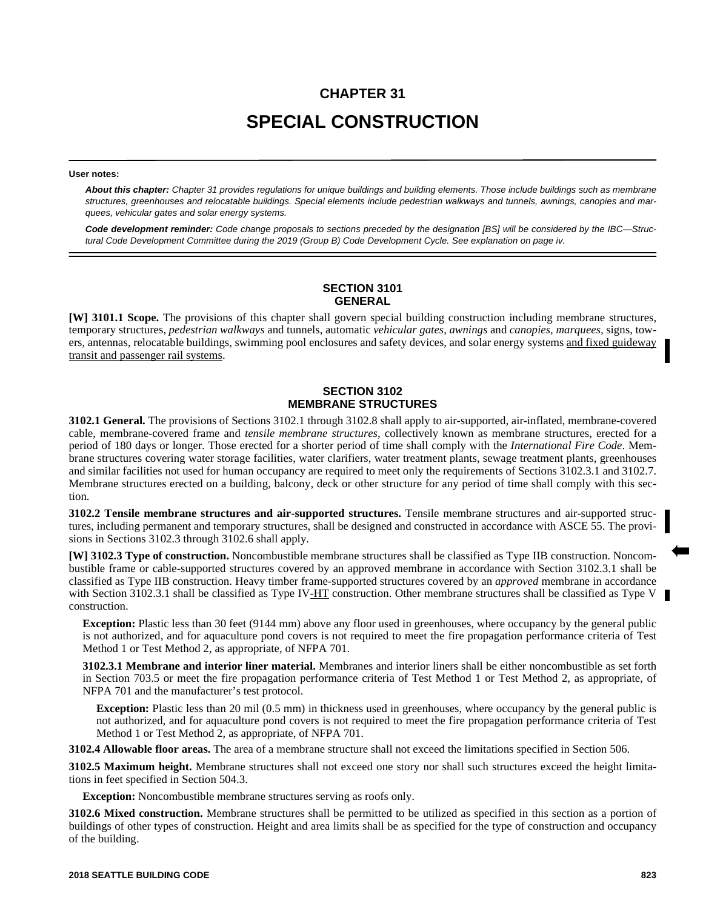# **CHAPTER 31 SPECIAL CONSTRUCTION**

#### **User notes:**

*About this chapter: Chapter 31 provides regulations for unique buildings and building elements. Those include buildings such as membrane structures, greenhouses and relocatable buildings. Special elements include pedestrian walkways and tunnels, awnings, canopies and marquees, vehicular gates and solar energy systems.*

*Code development reminder: Code change proposals to sections preceded by the designation [BS] will be considered by the IBC—Structural Code Development Committee during the 2019 (Group B) Code Development Cycle. See explanation on page iv.*

#### **SECTION 3101 GENERAL**

**[W] 3101.1 Scope.** The provisions of this chapter shall govern special building construction including membrane structures, temporary structures, *pedestrian walkways* and tunnels, automatic *vehicular gates, awnings* and *canopies, marquees,* signs, towers, antennas, relocatable buildings, swimming pool enclosures and safety devices, and solar energy systems and fixed guideway transit and passenger rail systems.

### **SECTION 3102 MEMBRANE STRUCTURES**

**3102.1 General.** The provisions of Sections 3102.1 through 3102.8 shall apply to air-supported, air-inflated, membrane-covered cable, membrane-covered frame and *tensile membrane structures*, collectively known as membrane structures, erected for a period of 180 days or longer. Those erected for a shorter period of time shall comply with the *International Fire Code*. Membrane structures covering water storage facilities, water clarifiers, water treatment plants, sewage treatment plants, greenhouses and similar facilities not used for human occupancy are required to meet only the requirements of Sections 3102.3.1 and 3102.7. Membrane structures erected on a building, balcony, deck or other structure for any period of time shall comply with this section.

**3102.2 Tensile membrane structures and air-supported structures.** Tensile membrane structures and air-supported structures, including permanent and temporary structures, shall be designed and constructed in accordance with ASCE 55. The provisions in Sections 3102.3 through 3102.6 shall apply.

**[W] 3102.3 Type of construction.** Noncombustible membrane structures shall be classified as Type IIB construction. Noncombustible frame or cable-supported structures covered by an approved membrane in accordance with Section 3102.3.1 shall be classified as Type IIB construction. Heavy timber frame-supported structures covered by an *approved* membrane in accordance with Section 3102.3.1 shall be classified as Type IV-HT construction. Other membrane structures shall be classified as Type V construction.

**Exception:** Plastic less than 30 feet (9144 mm) above any floor used in greenhouses, where occupancy by the general public is not authorized, and for aquaculture pond covers is not required to meet the fire propagation performance criteria of Test Method 1 or Test Method 2, as appropriate, of NFPA 701.

**3102.3.1 Membrane and interior liner material.** Membranes and interior liners shall be either noncombustible as set forth in Section 703.5 or meet the fire propagation performance criteria of Test Method 1 or Test Method 2, as appropriate, of NFPA 701 and the manufacturer's test protocol.

**Exception:** Plastic less than 20 mil (0.5 mm) in thickness used in greenhouses, where occupancy by the general public is not authorized, and for aquaculture pond covers is not required to meet the fire propagation performance criteria of Test Method 1 or Test Method 2, as appropriate, of NFPA 701.

**3102.4 Allowable floor areas.** The area of a membrane structure shall not exceed the limitations specified in Section 506.

**3102.5 Maximum height.** Membrane structures shall not exceed one story nor shall such structures exceed the height limitations in feet specified in Section 504.3.

**Exception:** Noncombustible membrane structures serving as roofs only.

**3102.6 Mixed construction.** Membrane structures shall be permitted to be utilized as specified in this section as a portion of buildings of other types of construction. Height and area limits shall be as specified for the type of construction and occupancy of the building.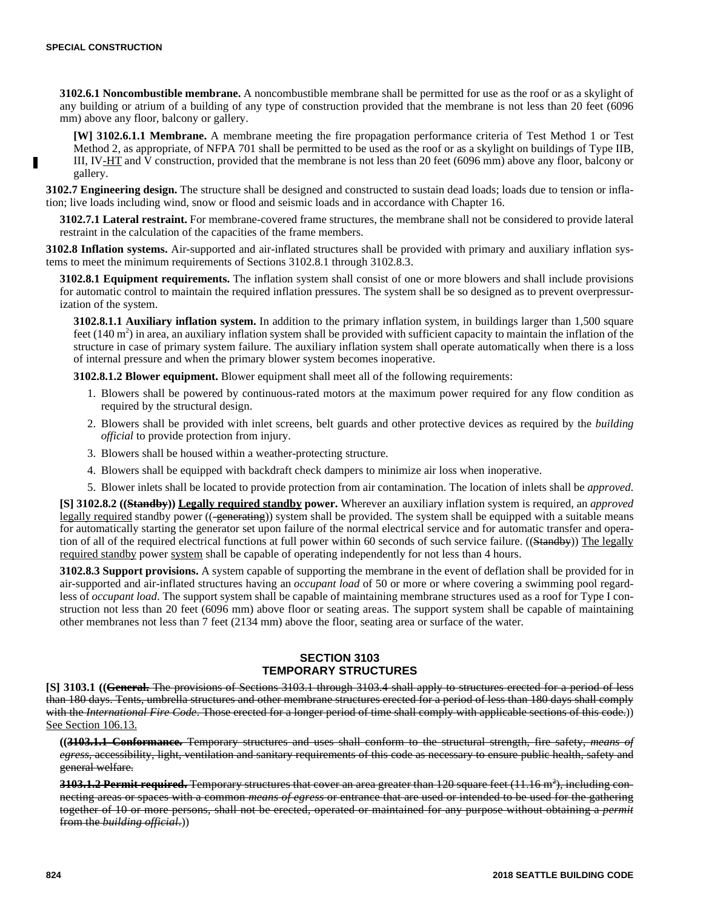**3102.6.1 Noncombustible membrane.** A noncombustible membrane shall be permitted for use as the roof or as a skylight of any building or atrium of a building of any type of construction provided that the membrane is not less than 20 feet (6096 mm) above any floor, balcony or gallery.

**[W] 3102.6.1.1 Membrane.** A membrane meeting the fire propagation performance criteria of Test Method 1 or Test Method 2, as appropriate, of NFPA 701 shall be permitted to be used as the roof or as a skylight on buildings of Type IIB, III, IV-HT and V construction, provided that the membrane is not less than 20 feet (6096 mm) above any floor, balcony or gallery.

**3102.7 Engineering design.** The structure shall be designed and constructed to sustain dead loads; loads due to tension or inflation; live loads including wind, snow or flood and seismic loads and in accordance with Chapter 16.

**3102.7.1 Lateral restraint.** For membrane-covered frame structures, the membrane shall not be considered to provide lateral restraint in the calculation of the capacities of the frame members.

**3102.8 Inflation systems.** Air-supported and air-inflated structures shall be provided with primary and auxiliary inflation systems to meet the minimum requirements of Sections 3102.8.1 through 3102.8.3.

**3102.8.1 Equipment requirements.** The inflation system shall consist of one or more blowers and shall include provisions for automatic control to maintain the required inflation pressures. The system shall be so designed as to prevent overpressurization of the system.

**3102.8.1.1 Auxiliary inflation system.** In addition to the primary inflation system, in buildings larger than 1,500 square feet  $(140 \text{ m}^2)$  in area, an auxiliary inflation system shall be provided with sufficient capacity to maintain the inflation of the structure in case of primary system failure. The auxiliary inflation system shall operate automatically when there is a loss of internal pressure and when the primary blower system becomes inoperative.

**3102.8.1.2 Blower equipment.** Blower equipment shall meet all of the following requirements:

- 1. Blowers shall be powered by continuous-rated motors at the maximum power required for any flow condition as required by the structural design.
- 2. Blowers shall be provided with inlet screens, belt guards and other protective devices as required by the *building official* to provide protection from injury.
- 3. Blowers shall be housed within a weather-protecting structure.
- 4. Blowers shall be equipped with backdraft check dampers to minimize air loss when inoperative.
- 5. Blower inlets shall be located to provide protection from air contamination. The location of inlets shall be *approved*.

**[S] 3102.8.2 ((Standby)) Legally required standby power.** Wherever an auxiliary inflation system is required, an *approved* legally required standby power ((-generating)) system shall be provided. The system shall be equipped with a suitable means for automatically starting the generator set upon failure of the normal electrical service and for automatic transfer and operation of all of the required electrical functions at full power within 60 seconds of such service failure. ((Standby)) The legally required standby power system shall be capable of operating independently for not less than 4 hours.

**3102.8.3 Support provisions.** A system capable of supporting the membrane in the event of deflation shall be provided for in air-supported and air-inflated structures having an *occupant load* of 50 or more or where covering a swimming pool regardless of *occupant load*. The support system shall be capable of maintaining membrane structures used as a roof for Type I construction not less than 20 feet (6096 mm) above floor or seating areas. The support system shall be capable of maintaining other membranes not less than 7 feet (2134 mm) above the floor, seating area or surface of the water.

#### **SECTION 3103 TEMPORARY STRUCTURES**

**[S] 3103.1 ((General.** The provisions of Sections 3103.1 through 3103.4 shall apply to structures erected for a period of less than 180 days. Tents, umbrella structures and other membrane structures erected for a period of less than 180 days shall comply with the *International Fire Code*. Those erected for a longer period of time shall comply with applicable sections of this code.)) See Section 106.13.

**((3103.1.1 Conformance.** Temporary structures and uses shall conform to the structural strength, fire safety, *means of egress*, accessibility, light, ventilation and sanitary requirements of this code as necessary to ensure public health, safety and general welfare.

**3103.1.2 Permit required.** Temporary structures that cover an area greater than 120 square feet (11.16 m<sup>2</sup>), including connecting areas or spaces with a common *means of egress* or entrance that are used or intended to be used for the gathering together of 10 or more persons, shall not be erected, operated or maintained for any purpose without obtaining a *permit* from the *building official*.))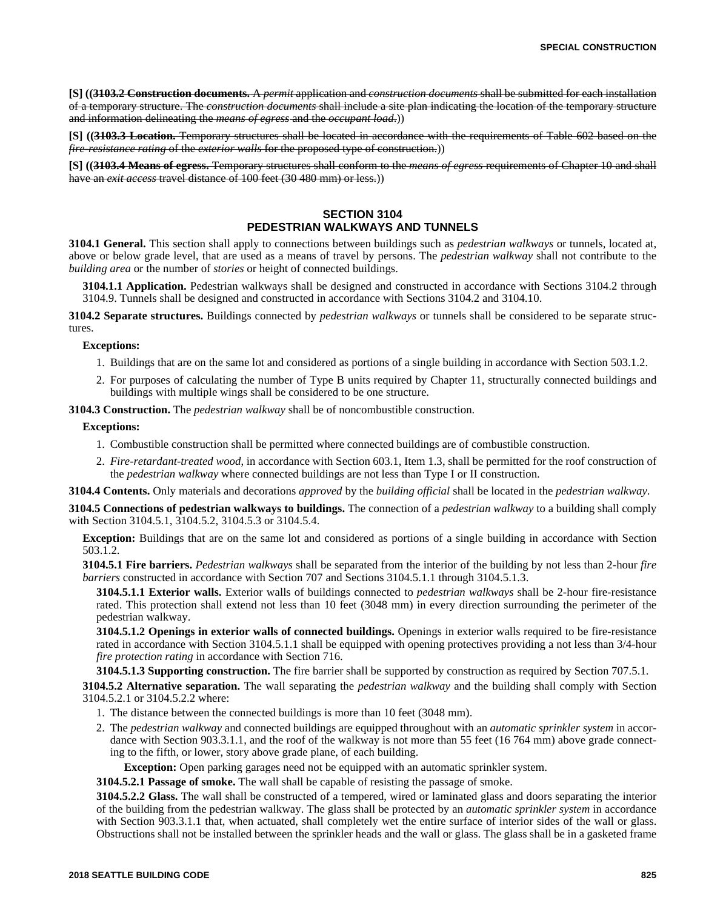**[S] ((3103.2 Construction documents.** A *permit* application and *construction documents* shall be submitted for each installation of a temporary structure. The *construction documents* shall include a site plan indicating the location of the temporary structure and information delineating the *means of egress* and the *occupant load*.))

**[S] ((3103.3 Location.** Temporary structures shall be located in accordance with the requirements of Table 602 based on the *fire-resistance rating* of the *exterior walls* for the proposed type of construction.))

**[S] ((3103.4 Means of egress.** Temporary structures shall conform to the *means of egress* requirements of Chapter 10 and shall have an *exit access* travel distance of 100 feet (30 480 mm) or less.))

## **SECTION 3104 PEDESTRIAN WALKWAYS AND TUNNELS**

**3104.1 General.** This section shall apply to connections between buildings such as *pedestrian walkways* or tunnels, located at, above or below grade level, that are used as a means of travel by persons. The *pedestrian walkway* shall not contribute to the *building area* or the number of *stories* or height of connected buildings.

**3104.1.1 Application.** Pedestrian walkways shall be designed and constructed in accordance with Sections 3104.2 through 3104.9. Tunnels shall be designed and constructed in accordance with Sections 3104.2 and 3104.10.

**3104.2 Separate structures.** Buildings connected by *pedestrian walkways* or tunnels shall be considered to be separate structures.

#### **Exceptions:**

- 1. Buildings that are on the same lot and considered as portions of a single building in accordance with Section 503.1.2.
- 2. For purposes of calculating the number of Type B units required by Chapter 11, structurally connected buildings and buildings with multiple wings shall be considered to be one structure.

**3104.3 Construction.** The *pedestrian walkway* shall be of noncombustible construction.

#### **Exceptions:**

- 1. Combustible construction shall be permitted where connected buildings are of combustible construction.
- 2. *Fire-retardant-treated wood*, in accordance with Section 603.1, Item 1.3, shall be permitted for the roof construction of the *pedestrian walkway* where connected buildings are not less than Type I or II construction.

**3104.4 Contents.** Only materials and decorations *approved* by the *building official* shall be located in the *pedestrian walkway*.

**3104.5 Connections of pedestrian walkways to buildings.** The connection of a *pedestrian walkway* to a building shall comply with Section 3104.5.1, 3104.5.2, 3104.5.3 or 3104.5.4.

**Exception:** Buildings that are on the same lot and considered as portions of a single building in accordance with Section 503.1.2.

**3104.5.1 Fire barriers.** *Pedestrian walkways* shall be separated from the interior of the building by not less than 2-hour *fire barriers* constructed in accordance with Section 707 and Sections 3104.5.1.1 through 3104.5.1.3.

**3104.5.1.1 Exterior walls.** Exterior walls of buildings connected to *pedestrian walkways* shall be 2-hour fire-resistance rated. This protection shall extend not less than 10 feet (3048 mm) in every direction surrounding the perimeter of the pedestrian walkway.

**3104.5.1.2 Openings in exterior walls of connected buildings.** Openings in exterior walls required to be fire-resistance rated in accordance with Section 3104.5.1.1 shall be equipped with opening protectives providing a not less than 3/4-hour *fire protection rating* in accordance with Section 716.

**3104.5.1.3 Supporting construction.** The fire barrier shall be supported by construction as required by Section 707.5.1.

**3104.5.2 Alternative separation.** The wall separating the *pedestrian walkway* and the building shall comply with Section 3104.5.2.1 or 3104.5.2.2 where:

- 1. The distance between the connected buildings is more than 10 feet (3048 mm).
- 2. The *pedestrian walkway* and connected buildings are equipped throughout with an *automatic sprinkler system* in accordance with Section 903.3.1.1, and the roof of the walkway is not more than 55 feet (16 764 mm) above grade connecting to the fifth, or lower, story above grade plane, of each building.

**Exception:** Open parking garages need not be equipped with an automatic sprinkler system.

**3104.5.2.1 Passage of smoke.** The wall shall be capable of resisting the passage of smoke.

**3104.5.2.2 Glass.** The wall shall be constructed of a tempered, wired or laminated glass and doors separating the interior of the building from the pedestrian walkway. The glass shall be protected by an *automatic sprinkler system* in accordance with Section 903.3.1.1 that, when actuated, shall completely wet the entire surface of interior sides of the wall or glass. Obstructions shall not be installed between the sprinkler heads and the wall or glass. The glass shall be in a gasketed frame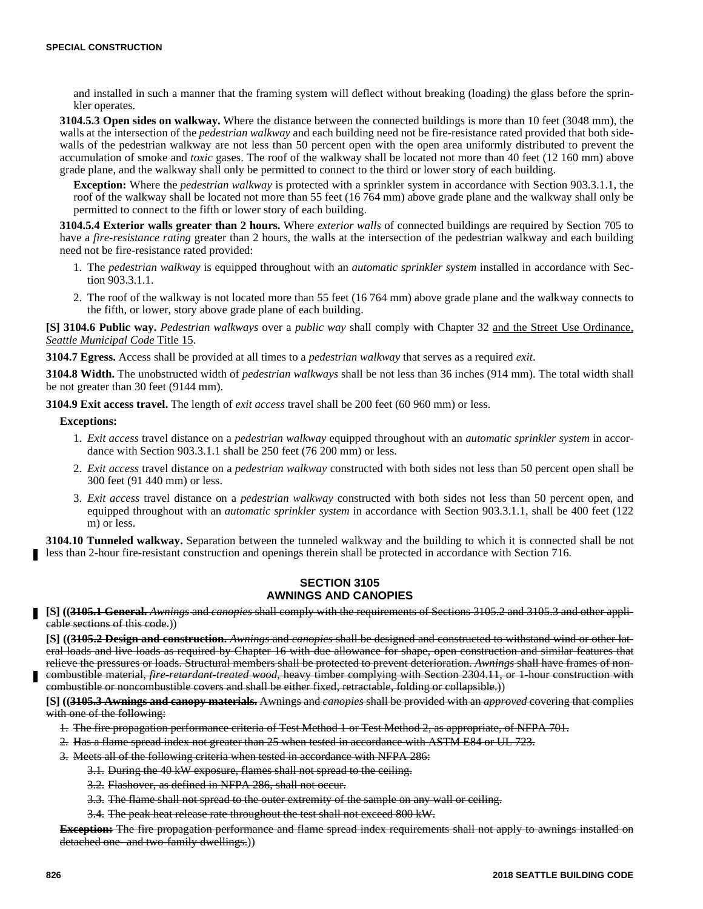and installed in such a manner that the framing system will deflect without breaking (loading) the glass before the sprinkler operates.

**3104.5.3 Open sides on walkway.** Where the distance between the connected buildings is more than 10 feet (3048 mm), the walls at the intersection of the *pedestrian walkway* and each building need not be fire-resistance rated provided that both sidewalls of the pedestrian walkway are not less than 50 percent open with the open area uniformly distributed to prevent the accumulation of smoke and *toxic* gases. The roof of the walkway shall be located not more than 40 feet (12 160 mm) above grade plane, and the walkway shall only be permitted to connect to the third or lower story of each building.

**Exception:** Where the *pedestrian walkway* is protected with a sprinkler system in accordance with Section 903.3.1.1, the roof of the walkway shall be located not more than 55 feet (16 764 mm) above grade plane and the walkway shall only be permitted to connect to the fifth or lower story of each building.

**3104.5.4 Exterior walls greater than 2 hours.** Where *exterior walls* of connected buildings are required by Section 705 to have a *fire-resistance rating* greater than 2 hours, the walls at the intersection of the pedestrian walkway and each building need not be fire-resistance rated provided:

- 1. The *pedestrian walkway* is equipped throughout with an *automatic sprinkler system* installed in accordance with Section 903.3.1.1.
- 2. The roof of the walkway is not located more than 55 feet (16 764 mm) above grade plane and the walkway connects to the fifth, or lower, story above grade plane of each building.

**[S] 3104.6 Public way.** *Pedestrian walkways* over a *public way* shall comply with Chapter 32 and the Street Use Ordinance, *Seattle Municipal Code* Title 15.

**3104.7 Egress.** Access shall be provided at all times to a *pedestrian walkway* that serves as a required *exit*.

**3104.8 Width.** The unobstructed width of *pedestrian walkways* shall be not less than 36 inches (914 mm). The total width shall be not greater than 30 feet (9144 mm).

**3104.9 Exit access travel.** The length of *exit access* travel shall be 200 feet (60 960 mm) or less.

#### **Exceptions:**

- 1. *Exit access* travel distance on a *pedestrian walkway* equipped throughout with an *automatic sprinkler system* in accordance with Section 903.3.1.1 shall be 250 feet (76 200 mm) or less.
- 2. *Exit access* travel distance on a *pedestrian walkway* constructed with both sides not less than 50 percent open shall be 300 feet (91 440 mm) or less.
- 3. *Exit access* travel distance on a *pedestrian walkway* constructed with both sides not less than 50 percent open, and equipped throughout with an *automatic sprinkler system* in accordance with Section 903.3.1.1, shall be 400 feet (122 m) or less.

**3104.10 Tunneled walkway.** Separation between the tunneled walkway and the building to which it is connected shall be not less than 2-hour fire-resistant construction and openings therein shall be protected in accordance with Section 716.

#### **SECTION 3105 AWNINGS AND CANOPIES**

**[S] ((3105.1 General.** *Awnings* and *canopies* shall comply with the requirements of Sections 3105.2 and 3105.3 and other applicable sections of this code.))

**[S] ((3105.2 Design and construction.** *Awnings* and *canopies* shall be designed and constructed to withstand wind or other lateral loads and live loads as required by Chapter 16 with due allowance for shape, open construction and similar features that relieve the pressures or loads. Structural members shall be protected to prevent deterioration. *Awnings* shall have frames of noncombustible material, *fire-retardant-treated wood*, heavy timber complying with Section 2304.11, or 1-hour construction with

combustible or noncombustible covers and shall be either fixed, retractable, folding or collapsible.))

**[S] ((3105.3 Awnings and canopy materials.** Awnings and *canopies* shall be provided with an *approved* covering that complies with one of the following:

- 1. The fire propagation performance criteria of Test Method 1 or Test Method 2, as appropriate, of NFPA 701.
- 2. Has a flame spread index not greater than 25 when tested in accordance with ASTM E84 or UL 723.
- 3. Meets all of the following criteria when tested in accordance with NFPA 286:
	- 3.1. During the 40 kW exposure, flames shall not spread to the ceiling.
	- 3.2. Flashover, as defined in NFPA 286, shall not occur.
	- 3.3. The flame shall not spread to the outer extremity of the sample on any wall or ceiling.
	- 3.4. The peak heat release rate throughout the test shall not exceed 800 kW.

**Exception:** The fire propagation performance and flame spread index requirements shall not apply to awnings installed on detached one- and two-family dwellings.))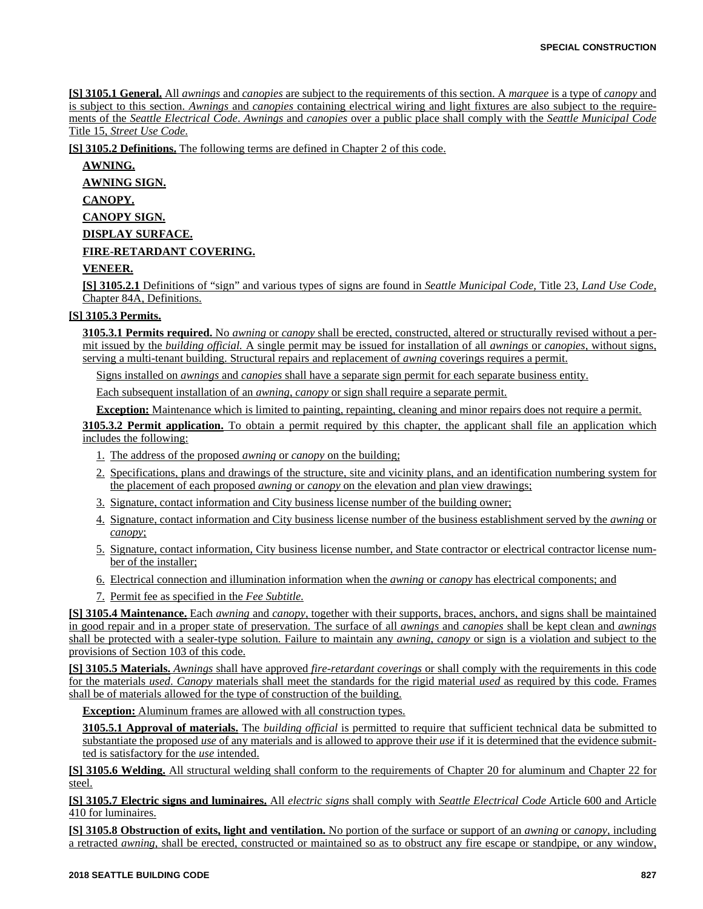**[S] 3105.1 General.** All *awnings* and *canopies* are subject to the requirements of this section. A *marquee* is a type of *canopy* and is subject to this section. *Awnings* and *canopies* containing electrical wiring and light fixtures are also subject to the requirements of the *Seattle Electrical Code*. *Awnings* and *canopies* over a public place shall comply with the *Seattle Municipal Code* Title 15, *Street Use Code*.

**[S] 3105.2 Definitions.** The following terms are defined in Chapter 2 of this code.

**AWNING.**

**AWNING SIGN.**

**CANOPY.**

**CANOPY SIGN.**

**DISPLAY SURFACE.**

### **FIRE-RETARDANT COVERING.**

### **VENEER.**

**[S] 3105.2.1** Definitions of "sign" and various types of signs are found in *Seattle Municipal Code,* Title 23, *Land Use Code,* Chapter 84A, Definitions.

### **[S] 3105.3 Permits.**

**3105.3.1 Permits required.** No *awning* or *canopy* shall be erected, constructed, altered or structurally revised without a permit issued by the *building official.* A single permit may be issued for installation of all *awnings* or *canopies*, without signs, serving a multi-tenant building. Structural repairs and replacement of *awning* coverings requires a permit.

Signs installed on *awnings* and *canopies* shall have a separate sign permit for each separate business entity.

Each subsequent installation of an *awning*, *canopy* or sign shall require a separate permit.

**Exception:** Maintenance which is limited to painting, repainting, cleaning and minor repairs does not require a permit.

**3105.3.2 Permit application.** To obtain a permit required by this chapter, the applicant shall file an application which includes the following:

- 1. The address of the proposed *awning* or *canopy* on the building;
- 2. Specifications, plans and drawings of the structure, site and vicinity plans, and an identification numbering system for the placement of each proposed *awning* or *canopy* on the elevation and plan view drawings;
- 3. Signature, contact information and City business license number of the building owner;
- 4. Signature, contact information and City business license number of the business establishment served by the *awning* or *canopy*;
- 5. Signature, contact information, City business license number, and State contractor or electrical contractor license number of the installer;
- 6. Electrical connection and illumination information when the *awning* or *canopy* has electrical components; and
- 7. Permit fee as specified in the *Fee Subtitle.*

**[S] 3105.4 Maintenance.** Each *awning* and *canopy*, together with their supports, braces, anchors, and signs shall be maintained in good repair and in a proper state of preservation. The surface of all *awnings* and *canopies* shall be kept clean and *awnings* shall be protected with a sealer-type solution. Failure to maintain any *awning*, *canopy* or sign is a violation and subject to the provisions of Section 103 of this code.

**[S] 3105.5 Materials.** *Awnings* shall have approved *fire-retardant coverings* or shall comply with the requirements in this code for the materials *used*. *Canopy* materials shall meet the standards for the rigid material *used* as required by this code*.* Frames shall be of materials allowed for the type of construction of the building.

**Exception:** Aluminum frames are allowed with all construction types.

**3105.5.1 Approval of materials.** The *building official* is permitted to require that sufficient technical data be submitted to substantiate the proposed *use* of any materials and is allowed to approve their *use* if it is determined that the evidence submitted is satisfactory for the *use* intended.

**[S] 3105.6 Welding.** All structural welding shall conform to the requirements of Chapter 20 for aluminum and Chapter 22 for steel.

**[S] 3105.7 Electric signs and luminaires.** All *electric signs* shall comply with *Seattle Electrical Code* Article 600 and Article 410 for luminaires.

**[S] 3105.8 Obstruction of exits, light and ventilation.** No portion of the surface or support of an *awning* or *canopy*, including a retracted *awning*, shall be erected, constructed or maintained so as to obstruct any fire escape or standpipe, or any window,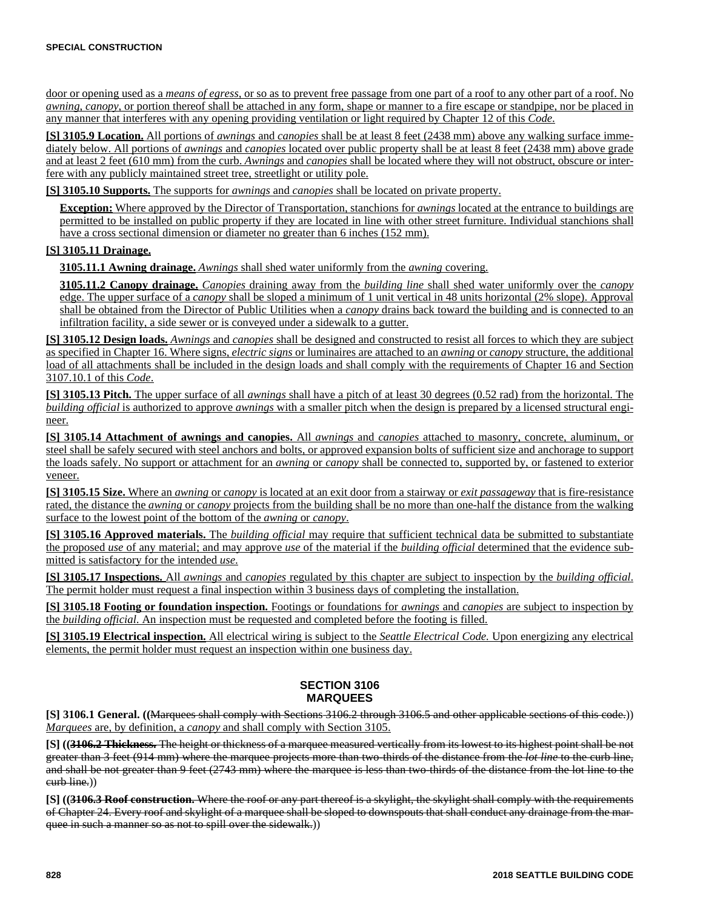door or opening used as a *means of egress,* or so as to prevent free passage from one part of a roof to any other part of a roof. No *awning*, *canopy*, or portion thereof shall be attached in any form, shape or manner to a fire escape or standpipe, nor be placed in any manner that interferes with any opening providing ventilation or light required by Chapter 12 of this *Code*.

**[S] 3105.9 Location.** All portions of *awnings* and *canopies* shall be at least 8 feet (2438 mm) above any walking surface immediately below. All portions of *awnings* and *canopies* located over public property shall be at least 8 feet (2438 mm) above grade and at least 2 feet (610 mm) from the curb. *Awnings* and *canopies* shall be located where they will not obstruct, obscure or interfere with any publicly maintained street tree, streetlight or utility pole.

**[S] 3105.10 Supports.** The supports for *awnings* and *canopies* shall be located on private property.

**Exception:** Where approved by the Director of Transportation, stanchions for *awnings* located at the entrance to buildings are permitted to be installed on public property if they are located in line with other street furniture. Individual stanchions shall have a cross sectional dimension or diameter no greater than 6 inches (152 mm).

#### **[S] 3105.11 Drainage.**

**3105.11.1 Awning drainage.** *Awnings* shall shed water uniformly from the *awning* covering.

**3105.11.2 Canopy drainage.** *Canopies* draining away from the *building line* shall shed water uniformly over the *canopy* edge. The upper surface of a *canopy* shall be sloped a minimum of 1 unit vertical in 48 units horizontal (2% slope). Approval shall be obtained from the Director of Public Utilities when a *canopy* drains back toward the building and is connected to an infiltration facility, a side sewer or is conveyed under a sidewalk to a gutter.

**[S] 3105.12 Design loads.** *Awnings* and *canopies* shall be designed and constructed to resist all forces to which they are subject as specified in Chapter 16. Where signs, *electric signs* or luminaires are attached to an *awning* or *canopy* structure, the additional load of all attachments shall be included in the design loads and shall comply with the requirements of Chapter 16 and Section 3107.10.1 of this *Code*.

**[S] 3105.13 Pitch.** The upper surface of all *awnings* shall have a pitch of at least 30 degrees (0.52 rad) from the horizontal. The *building official* is authorized to approve *awnings* with a smaller pitch when the design is prepared by a licensed structural engineer.

**[S] 3105.14 Attachment of awnings and canopies.** All *awnings* and *canopies* attached to masonry, concrete, aluminum, or steel shall be safely secured with steel anchors and bolts, or approved expansion bolts of sufficient size and anchorage to support the loads safely. No support or attachment for an *awning* or *canopy* shall be connected to, supported by, or fastened to exterior veneer.

**[S] 3105.15 Size.** Where an *awning* or *canopy* is located at an exit door from a stairway or *exit passageway* that is fire-resistance rated, the distance the *awning* or *canopy* projects from the building shall be no more than one-half the distance from the walking surface to the lowest point of the bottom of the *awning* or *canopy*.

**[S] 3105.16 Approved materials.** The *building official* may require that sufficient technical data be submitted to substantiate the proposed *use* of any material; and may approve *use* of the material if the *building official* determined that the evidence submitted is satisfactory for the intended *use*.

**[S] 3105.17 Inspections.** All *awnings* and *canopies* regulated by this chapter are subject to inspection by the *building official*. The permit holder must request a final inspection within 3 business days of completing the installation.

**[S] 3105.18 Footing or foundation inspection.** Footings or foundations for *awnings* and *canopies* are subject to inspection by the *building official.* An inspection must be requested and completed before the footing is filled.

**[S] 3105.19 Electrical inspection.** All electrical wiring is subject to the *Seattle Electrical Code.* Upon energizing any electrical elements, the permit holder must request an inspection within one business day.

## **SECTION 3106 MARQUEES**

**[S] 3106.1 General. ((**Marquees shall comply with Sections 3106.2 through 3106.5 and other applicable sections of this code.)) *Marquees* are, by definition, a *canopy* and shall comply with Section 3105.

**[S] ((3106.2 Thickness.** The height or thickness of a marquee measured vertically from its lowest to its highest point shall be not greater than 3 feet (914 mm) where the marquee projects more than two-thirds of the distance from the *lot line* to the curb line, and shall be not greater than 9 feet (2743 mm) where the marquee is less than two-thirds of the distance from the lot line to the eurb line.)

**[S] ((3106.3 Roof construction.** Where the roof or any part thereof is a skylight, the skylight shall comply with the requirements of Chapter 24. Every roof and skylight of a marquee shall be sloped to downspouts that shall conduct any drainage from the marquee in such a manner so as not to spill over the sidewalk.))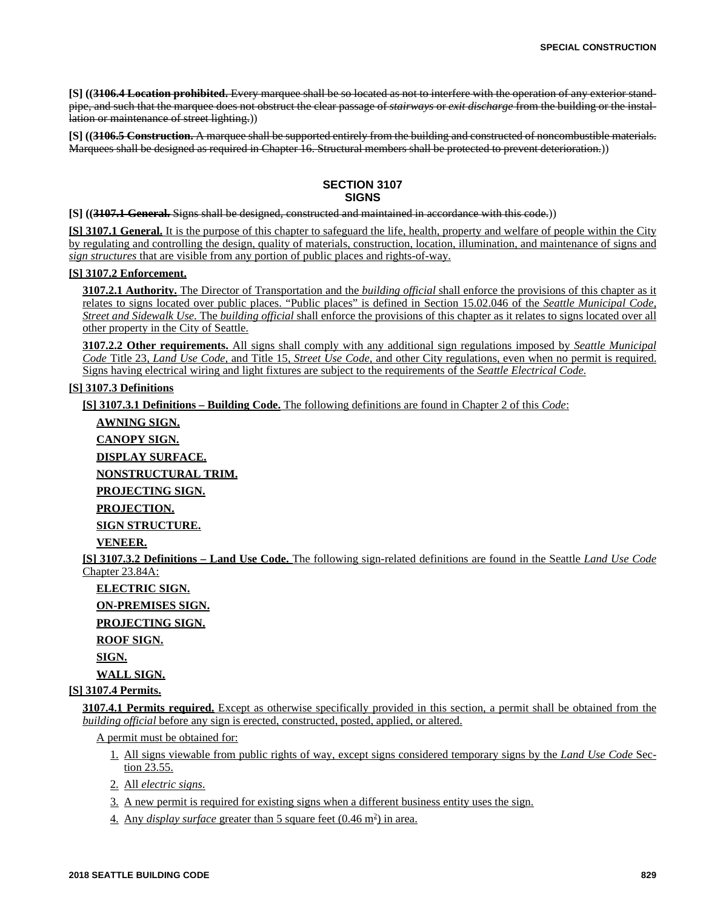**[S] ((3106.4 Location prohibited.** Every marquee shall be so located as not to interfere with the operation of any exterior standpipe, and such that the marquee does not obstruct the clear passage of *stairways* or *exit discharge* from the building or the installation or maintenance of street lighting.))

**[S] ((3106.5 Construction.** A marquee shall be supported entirely from the building and constructed of noncombustible materials. Marquees shall be designed as required in Chapter 16. Structural members shall be protected to prevent deterioration.))

## **SECTION 3107 SIGNS**

**[S] ((3107.1 General.** Signs shall be designed, constructed and maintained in accordance with this code.))

**[S] 3107.1 General.** It is the purpose of this chapter to safeguard the life, health, property and welfare of people within the City by regulating and controlling the design, quality of materials, construction, location, illumination, and maintenance of signs and *sign structures* that are visible from any portion of public places and rights-of-way.

## **[S] 3107.2 Enforcement.**

**3107.2.1 Authority.** The Director of Transportation and the *building official* shall enforce the provisions of this chapter as it relates to signs located over public places. "Public places" is defined in Section 15.02.046 of the *Seattle Municipal Code, Street and Sidewalk Use*. The *building official* shall enforce the provisions of this chapter as it relates to signs located over all other property in the City of Seattle.

**3107.2.2 Other requirements.** All signs shall comply with any additional sign regulations imposed by *Seattle Municipal Code* Title 23, *Land Use Code,* and Title 15, *Street Use Code,* and other City regulations, even when no permit is required. Signs having electrical wiring and light fixtures are subject to the requirements of the *Seattle Electrical Code*.

#### **[S] 3107.3 Definitions**

**[S] 3107.3.1 Definitions – Building Code.** The following definitions are found in Chapter 2 of this *Code*:

**AWNING SIGN. CANOPY SIGN. DISPLAY SURFACE. NONSTRUCTURAL TRIM. PROJECTING SIGN. PROJECTION. SIGN STRUCTURE. VENEER. [S] 3107.3.2 Definitions – Land Use Code.** The following sign-related definitions are found in the Seattle *Land Use Code* Chapter 23.84A: **ELECTRIC SIGN. ON-PREMISES SIGN. PROJECTING SIGN. ROOF SIGN.**

**SIGN.**

**WALL SIGN.**

**[S] 3107.4 Permits.**

**3107.4.1 Permits required.** Except as otherwise specifically provided in this section, a permit shall be obtained from the *building official* before any sign is erected, constructed, posted, applied, or altered.

A permit must be obtained for:

- 1. All signs viewable from public rights of way, except signs considered temporary signs by the *Land Use Code* Section 23.55.
- 2. All *electric signs*.
- 3. A new permit is required for existing signs when a different business entity uses the sign.
- 4. Any *display surface* greater than 5 square feet (0.46 m<sup>2</sup>) in area.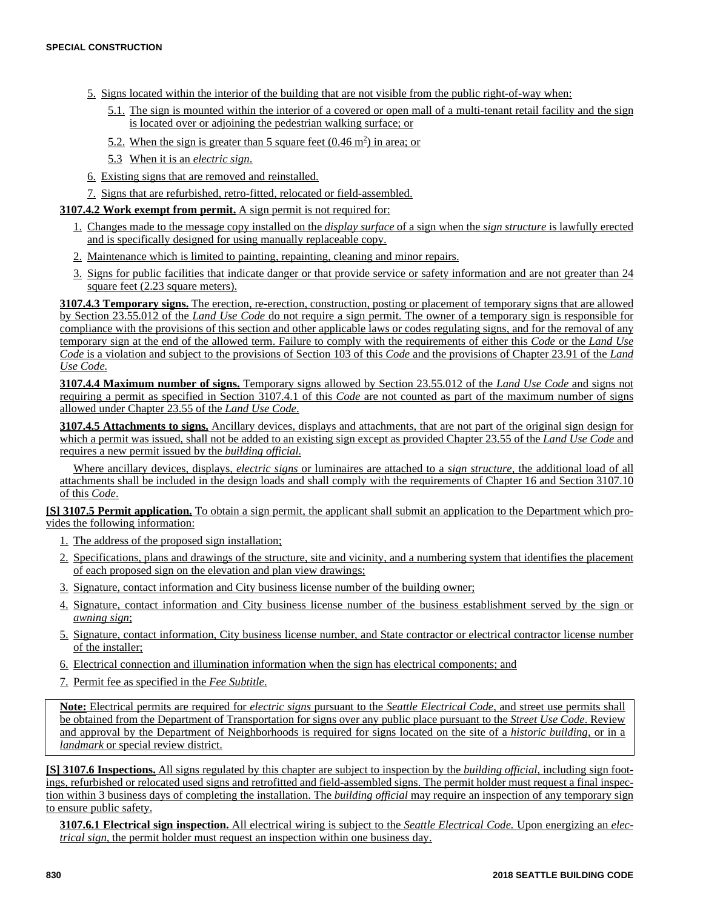- 5. Signs located within the interior of the building that are not visible from the public right-of-way when:
	- 5.1. The sign is mounted within the interior of a covered or open mall of a multi-tenant retail facility and the sign is located over or adjoining the pedestrian walking surface; or
	- 5.2. When the sign is greater than 5 square feet  $(0.46 \text{ m}^2)$  in area; or
	- 5.3 When it is an *electric sign*.
- 6. Existing signs that are removed and reinstalled.
- 7. Signs that are refurbished, retro-fitted, relocated or field-assembled.

#### **3107.4.2 Work exempt from permit.** A sign permit is not required for:

- 1. Changes made to the message copy installed on the *display surface* of a sign when the *sign structure* is lawfully erected and is specifically designed for using manually replaceable copy.
- 2. Maintenance which is limited to painting, repainting, cleaning and minor repairs.
- 3. Signs for public facilities that indicate danger or that provide service or safety information and are not greater than 24 square feet (2.23 square meters).

**3107.4.3 Temporary signs.** The erection, re-erection, construction, posting or placement of temporary signs that are allowed by Section 23.55.012 of the *Land Use Code* do not require a sign permit. The owner of a temporary sign is responsible for compliance with the provisions of this section and other applicable laws or codes regulating signs, and for the removal of any temporary sign at the end of the allowed term. Failure to comply with the requirements of either this *Code* or the *Land Use Code* is a violation and subject to the provisions of Section 103 of this *Code* and the provisions of Chapter 23.91 of the *Land Use Code.*

**3107.4.4 Maximum number of signs.** Temporary signs allowed by Section 23.55.012 of the *Land Use Code* and signs not requiring a permit as specified in Section 3107.4.1 of this *Code* are not counted as part of the maximum number of signs allowed under Chapter 23.55 of the *Land Use Code*.

**3107.4.5 Attachments to signs.** Ancillary devices, displays and attachments, that are not part of the original sign design for which a permit was issued, shall not be added to an existing sign except as provided Chapter 23.55 of the *Land Use Code* and requires a new permit issued by the *building official.*

Where ancillary devices, displays, *electric signs* or luminaires are attached to a *sign structure*, the additional load of all attachments shall be included in the design loads and shall comply with the requirements of Chapter 16 and Section 3107.10 of this *Code*.

**[S] 3107.5 Permit application.** To obtain a sign permit, the applicant shall submit an application to the Department which provides the following information:

- 1. The address of the proposed sign installation;
- 2. Specifications, plans and drawings of the structure, site and vicinity, and a numbering system that identifies the placement of each proposed sign on the elevation and plan view drawings;
- 3. Signature, contact information and City business license number of the building owner;
- 4. Signature, contact information and City business license number of the business establishment served by the sign or *awning sign*;
- 5. Signature, contact information, City business license number, and State contractor or electrical contractor license number of the installer;
- 6. Electrical connection and illumination information when the sign has electrical components; and
- 7. Permit fee as specified in the *Fee Subtitle*.

**Note:** Electrical permits are required for *electric signs* pursuant to the *Seattle Electrical Code*, and street use permits shall be obtained from the Department of Transportation for signs over any public place pursuant to the *Street Use Code*. Review and approval by the Department of Neighborhoods is required for signs located on the site of a *historic building*, or in a *landmark* or special review district.

**[S] 3107.6 Inspections.** All signs regulated by this chapter are subject to inspection by the *building official*, including sign footings, refurbished or relocated used signs and retrofitted and field-assembled signs. The permit holder must request a final inspection within 3 business days of completing the installation. The *building official* may require an inspection of any temporary sign to ensure public safety.

**3107.6.1 Electrical sign inspection.** All electrical wiring is subject to the *Seattle Electrical Code.* Upon energizing an *electrical sign*, the permit holder must request an inspection within one business day.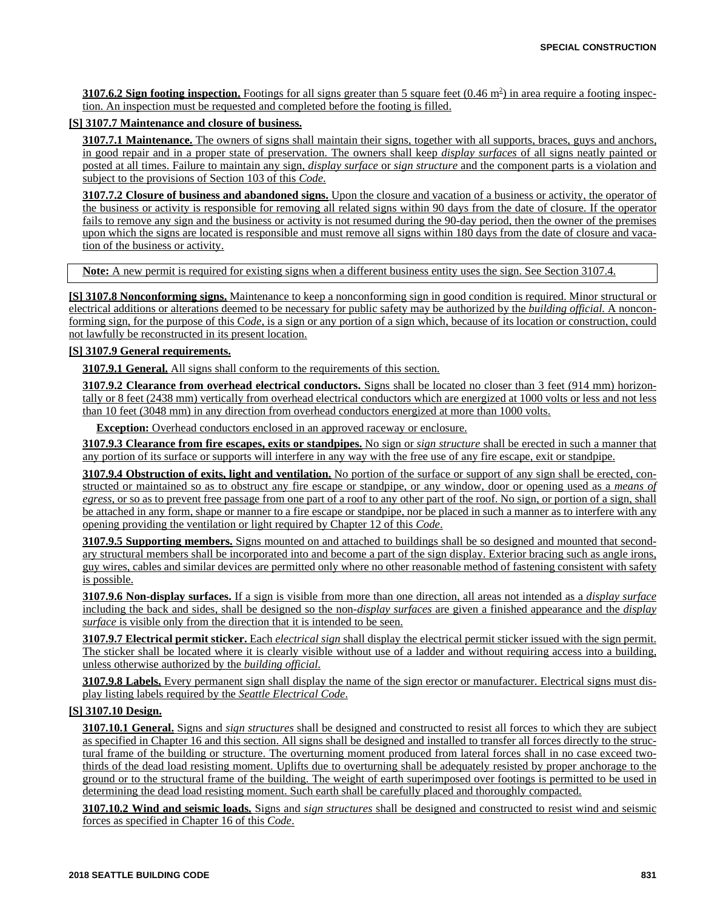**3107.6.2 Sign footing inspection.** Footings for all signs greater than 5 square feet  $(0.46 \text{ m}^2)$  in area require a footing inspection. An inspection must be requested and completed before the footing is filled.

#### **[S] 3107.7 Maintenance and closure of business.**

**3107.7.1 Maintenance.** The owners of signs shall maintain their signs, together with all supports, braces, guys and anchors, in good repair and in a proper state of preservation. The owners shall keep *display surfaces* of all signs neatly painted or posted at all times. Failure to maintain any sign, *display surface* or *sign structure* and the component parts is a violation and subject to the provisions of Section 103 of this *Code*.

**3107.7.2 Closure of business and abandoned signs.** Upon the closure and vacation of a business or activity, the operator of the business or activity is responsible for removing all related signs within 90 days from the date of closure. If the operator fails to remove any sign and the business or activity is not resumed during the 90-day period, then the owner of the premises upon which the signs are located is responsible and must remove all signs within 180 days from the date of closure and vacation of the business or activity.

**Note:** A new permit is required for existing signs when a different business entity uses the sign. See Section 3107.4.

**[S] 3107.8 Nonconforming signs.** Maintenance to keep a nonconforming sign in good condition is required. Minor structural or electrical additions or alterations deemed to be necessary for public safety may be authorized by the *building official.* A nonconforming sign, for the purpose of this C*ode*, is a sign or any portion of a sign which, because of its location or construction, could not lawfully be reconstructed in its present location.

#### **[S] 3107.9 General requirements.**

**3107.9.1 General.** All signs shall conform to the requirements of this section.

**3107.9.2 Clearance from overhead electrical conductors.** Signs shall be located no closer than 3 feet (914 mm) horizontally or 8 feet (2438 mm) vertically from overhead electrical conductors which are energized at 1000 volts or less and not less than 10 feet (3048 mm) in any direction from overhead conductors energized at more than 1000 volts.

**Exception:** Overhead conductors enclosed in an approved raceway or enclosure.

**3107.9.3 Clearance from fire escapes, exits or standpipes.** No sign or *sign structure* shall be erected in such a manner that any portion of its surface or supports will interfere in any way with the free use of any fire escape, exit or standpipe.

**3107.9.4 Obstruction of exits, light and ventilation.** No portion of the surface or support of any sign shall be erected, constructed or maintained so as to obstruct any fire escape or standpipe, or any window, door or opening used as a *means of egress,* or so as to prevent free passage from one part of a roof to any other part of the roof. No sign, or portion of a sign, shall be attached in any form, shape or manner to a fire escape or standpipe, nor be placed in such a manner as to interfere with any opening providing the ventilation or light required by Chapter 12 of this *Code*.

**3107.9.5 Supporting members.** Signs mounted on and attached to buildings shall be so designed and mounted that secondary structural members shall be incorporated into and become a part of the sign display. Exterior bracing such as angle irons, guy wires, cables and similar devices are permitted only where no other reasonable method of fastening consistent with safety is possible.

**3107.9.6 Non-display surfaces.** If a sign is visible from more than one direction, all areas not intended as a *display surface* including the back and sides, shall be designed so the non-*display surfaces* are given a finished appearance and the *display surface* is visible only from the direction that it is intended to be seen.

**3107.9.7 Electrical permit sticker.** Each *electrical sign* shall display the electrical permit sticker issued with the sign permit. The sticker shall be located where it is clearly visible without use of a ladder and without requiring access into a building, unless otherwise authorized by the *building official*.

**3107.9.8 Labels.** Every permanent sign shall display the name of the sign erector or manufacturer. Electrical signs must display listing labels required by the *Seattle Electrical Code*.

## **[S] 3107.10 Design.**

**3107.10.1 General.** Signs and *sign structures* shall be designed and constructed to resist all forces to which they are subject as specified in Chapter 16 and this section. All signs shall be designed and installed to transfer all forces directly to the structural frame of the building or structure. The overturning moment produced from lateral forces shall in no case exceed twothirds of the dead load resisting moment. Uplifts due to overturning shall be adequately resisted by proper anchorage to the ground or to the structural frame of the building. The weight of earth superimposed over footings is permitted to be used in determining the dead load resisting moment. Such earth shall be carefully placed and thoroughly compacted.

**3107.10.2 Wind and seismic loads.** Signs and *sign structures* shall be designed and constructed to resist wind and seismic forces as specified in Chapter 16 of this *Code*.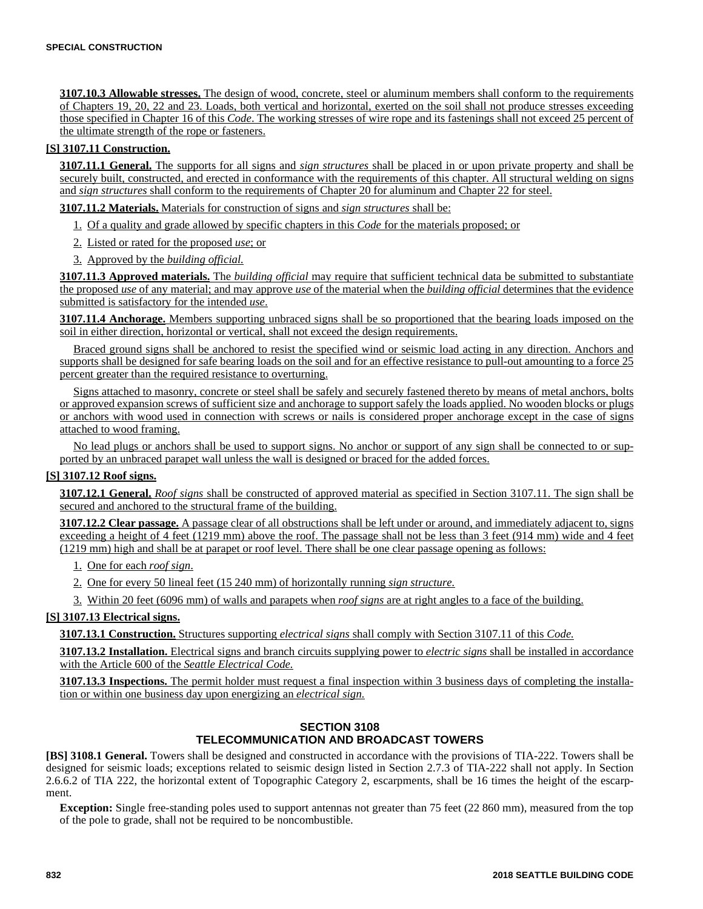**3107.10.3 Allowable stresses.** The design of wood, concrete, steel or aluminum members shall conform to the requirements of Chapters 19, 20, 22 and 23. Loads, both vertical and horizontal, exerted on the soil shall not produce stresses exceeding those specified in Chapter 16 of this *Code*. The working stresses of wire rope and its fastenings shall not exceed 25 percent of the ultimate strength of the rope or fasteners.

## **[S] 3107.11 Construction.**

**3107.11.1 General.** The supports for all signs and *sign structures* shall be placed in or upon private property and shall be securely built, constructed, and erected in conformance with the requirements of this chapter. All structural welding on signs and *sign structures* shall conform to the requirements of Chapter 20 for aluminum and Chapter 22 for steel.

**3107.11.2 Materials.** Materials for construction of signs and *sign structures* shall be:

- 1. Of a quality and grade allowed by specific chapters in this *Code* for the materials proposed; or
- 2. Listed or rated for the proposed *use*; or
- 3. Approved by the *building official.*

**3107.11.3 Approved materials.** The *building official* may require that sufficient technical data be submitted to substantiate the proposed *use* of any material; and may approve *use* of the material when the *building official* determines that the evidence submitted is satisfactory for the intended *use*.

**3107.11.4 Anchorage.** Members supporting unbraced signs shall be so proportioned that the bearing loads imposed on the soil in either direction, horizontal or vertical, shall not exceed the design requirements.

Braced ground signs shall be anchored to resist the specified wind or seismic load acting in any direction. Anchors and supports shall be designed for safe bearing loads on the soil and for an effective resistance to pull-out amounting to a force 25 percent greater than the required resistance to overturning.

Signs attached to masonry, concrete or steel shall be safely and securely fastened thereto by means of metal anchors, bolts or approved expansion screws of sufficient size and anchorage to support safely the loads applied. No wooden blocks or plugs or anchors with wood used in connection with screws or nails is considered proper anchorage except in the case of signs attached to wood framing.

No lead plugs or anchors shall be used to support signs. No anchor or support of any sign shall be connected to or supported by an unbraced parapet wall unless the wall is designed or braced for the added forces.

#### **[S] 3107.12 Roof signs.**

**3107.12.1 General.** *Roof signs* shall be constructed of approved material as specified in Section 3107.11. The sign shall be secured and anchored to the structural frame of the building.

**3107.12.2 Clear passage.** A passage clear of all obstructions shall be left under or around, and immediately adjacent to, signs exceeding a height of 4 feet (1219 mm) above the roof. The passage shall not be less than 3 feet (914 mm) wide and 4 feet (1219 mm) high and shall be at parapet or roof level. There shall be one clear passage opening as follows:

1. One for each *roof sign*.

- 2. One for every 50 lineal feet (15 240 mm) of horizontally running *sign structure.*
- 3. Within 20 feet (6096 mm) of walls and parapets when *roof signs* are at right angles to a face of the building.

#### **[S] 3107.13 Electrical signs.**

**3107.13.1 Construction.** Structures supporting *electrical signs* shall comply with Section 3107.11 of this *Code.*

**3107.13.2 Installation.** Electrical signs and branch circuits supplying power to *electric signs* shall be installed in accordance with the Article 600 of the *Seattle Electrical Code.*

**3107.13.3 Inspections.** The permit holder must request a final inspection within 3 business days of completing the installation or within one business day upon energizing an *electrical sign.*

## **SECTION 3108 TELECOMMUNICATION AND BROADCAST TOWERS**

**[BS] 3108.1 General.** Towers shall be designed and constructed in accordance with the provisions of TIA-222. Towers shall be designed for seismic loads; exceptions related to seismic design listed in Section 2.7.3 of TIA-222 shall not apply. In Section 2.6.6.2 of TIA 222, the horizontal extent of Topographic Category 2, escarpments, shall be 16 times the height of the escarpment.

**Exception:** Single free-standing poles used to support antennas not greater than 75 feet (22 860 mm), measured from the top of the pole to grade, shall not be required to be noncombustible.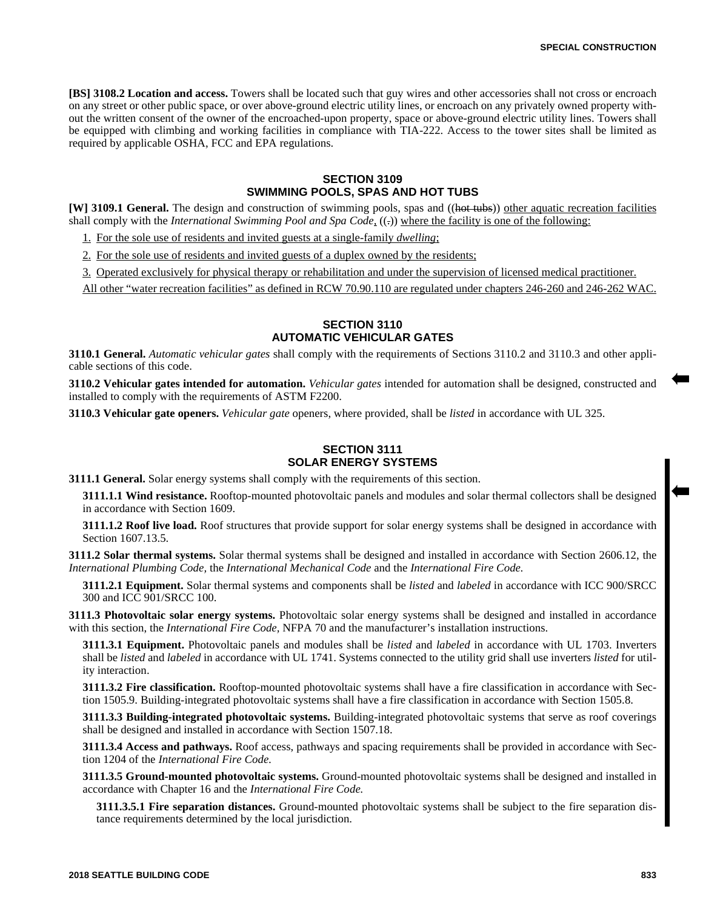**[BS] 3108.2 Location and access.** Towers shall be located such that guy wires and other accessories shall not cross or encroach on any street or other public space, or over above-ground electric utility lines, or encroach on any privately owned property without the written consent of the owner of the encroached-upon property, space or above-ground electric utility lines. Towers shall be equipped with climbing and working facilities in compliance with TIA-222. Access to the tower sites shall be limited as required by applicable OSHA, FCC and EPA regulations.

### **SECTION 3109 SWIMMING POOLS, SPAS AND HOT TUBS**

**[W] 3109.1 General.** The design and construction of swimming pools, spas and ((hot tubs)) other aquatic recreation facilities shall comply with the *International Swimming Pool and Spa Code*, ((-)) where the facility is one of the following:

1. For the sole use of residents and invited guests at a single-family *dwelling*;

2. For the sole use of residents and invited guests of a duplex owned by the residents;

3. Operated exclusively for physical therapy or rehabilitation and under the supervision of licensed medical practitioner.

All other "water recreation facilities" as defined in RCW 70.90.110 are regulated under chapters 246-260 and 246-262 WAC.

## **SECTION 3110 AUTOMATIC VEHICULAR GATES**

**3110.1 General.** *Automatic vehicular gates* shall comply with the requirements of Sections 3110.2 and 3110.3 and other applicable sections of this code.

**3110.2 Vehicular gates intended for automation.** *Vehicular gates* intended for automation shall be designed, constructed and installed to comply with the requirements of ASTM F2200.

**3110.3 Vehicular gate openers.** *Vehicular gate* openers, where provided, shall be *listed* in accordance with UL 325.

## **SECTION 3111 SOLAR ENERGY SYSTEMS**

**3111.1 General.** Solar energy systems shall comply with the requirements of this section.

**3111.1.1 Wind resistance.** Rooftop-mounted photovoltaic panels and modules and solar thermal collectors shall be designed in accordance with Section 1609.

**3111.1.2 Roof live load.** Roof structures that provide support for solar energy systems shall be designed in accordance with Section 1607.13.5.

**3111.2 Solar thermal systems.** Solar thermal systems shall be designed and installed in accordance with Section 2606.12, the *International Plumbing Code,* the *International Mechanical Code* and the *International Fire Code.*

**3111.2.1 Equipment.** Solar thermal systems and components shall be *listed* and *labeled* in accordance with ICC 900/SRCC 300 and ICC 901/SRCC 100.

**3111.3 Photovoltaic solar energy systems.** Photovoltaic solar energy systems shall be designed and installed in accordance with this section, the *International Fire Code,* NFPA 70 and the manufacturer's installation instructions.

**3111.3.1 Equipment.** Photovoltaic panels and modules shall be *listed* and *labeled* in accordance with UL 1703. Inverters shall be *listed* and *labeled* in accordance with UL 1741. Systems connected to the utility grid shall use inverters *listed* for utility interaction.

**3111.3.2 Fire classification.** Rooftop-mounted photovoltaic systems shall have a fire classification in accordance with Section 1505.9. Building-integrated photovoltaic systems shall have a fire classification in accordance with Section 1505.8.

**3111.3.3 Building-integrated photovoltaic systems.** Building-integrated photovoltaic systems that serve as roof coverings shall be designed and installed in accordance with Section 1507.18.

**3111.3.4 Access and pathways.** Roof access, pathways and spacing requirements shall be provided in accordance with Section 1204 of the *International Fire Code.*

**3111.3.5 Ground-mounted photovoltaic systems.** Ground-mounted photovoltaic systems shall be designed and installed in accordance with Chapter 16 and the *International Fire Code.*

**3111.3.5.1 Fire separation distances.** Ground-mounted photovoltaic systems shall be subject to the fire separation distance requirements determined by the local jurisdiction.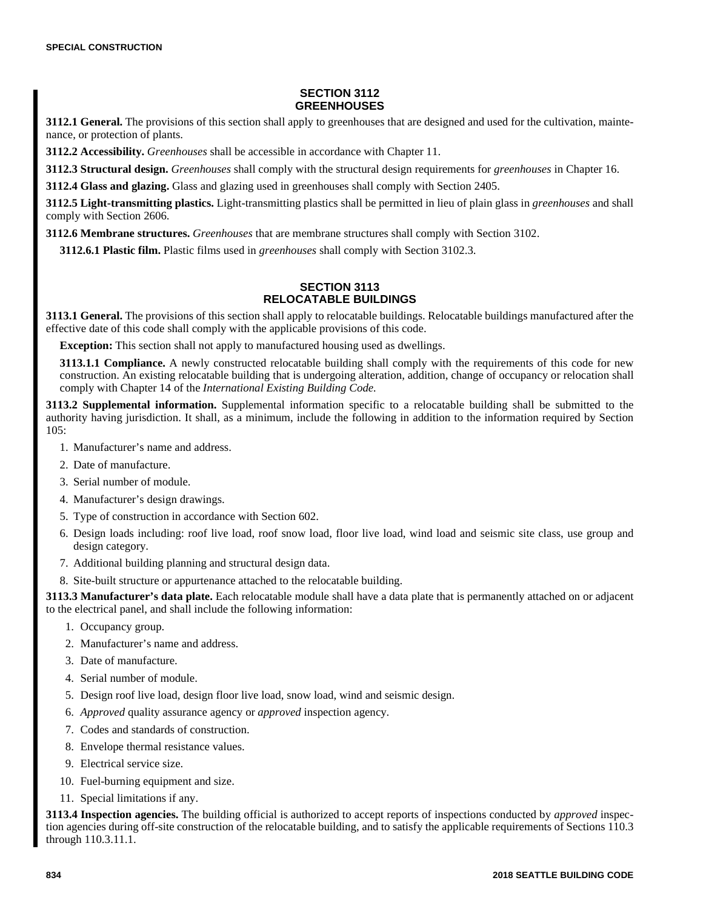### **SECTION 3112 GREENHOUSES**

**3112.1 General.** The provisions of this section shall apply to greenhouses that are designed and used for the cultivation, maintenance, or protection of plants.

**3112.2 Accessibility.** *Greenhouses* shall be accessible in accordance with Chapter 11.

**3112.3 Structural design.** *Greenhouses* shall comply with the structural design requirements for *greenhouses* in Chapter 16.

**3112.4 Glass and glazing.** Glass and glazing used in greenhouses shall comply with Section 2405.

**3112.5 Light-transmitting plastics.** Light-transmitting plastics shall be permitted in lieu of plain glass in *greenhouses* and shall comply with Section 2606.

**3112.6 Membrane structures.** *Greenhouses* that are membrane structures shall comply with Section 3102.

**3112.6.1 Plastic film.** Plastic films used in *greenhouses* shall comply with Section 3102.3.

## **SECTION 3113 RELOCATABLE BUILDINGS**

**3113.1 General.** The provisions of this section shall apply to relocatable buildings. Relocatable buildings manufactured after the effective date of this code shall comply with the applicable provisions of this code.

**Exception:** This section shall not apply to manufactured housing used as dwellings.

**3113.1.1 Compliance.** A newly constructed relocatable building shall comply with the requirements of this code for new construction. An existing relocatable building that is undergoing alteration, addition, change of occupancy or relocation shall comply with Chapter 14 of the *International Existing Building Code.*

**3113.2 Supplemental information.** Supplemental information specific to a relocatable building shall be submitted to the authority having jurisdiction. It shall, as a minimum, include the following in addition to the information required by Section 105:

- 1. Manufacturer's name and address.
- 2. Date of manufacture.
- 3. Serial number of module.
- 4. Manufacturer's design drawings.
- 5. Type of construction in accordance with Section 602.
- 6. Design loads including: roof live load, roof snow load, floor live load, wind load and seismic site class, use group and design category.
- 7. Additional building planning and structural design data.
- 8. Site-built structure or appurtenance attached to the relocatable building.

**3113.3 Manufacturer's data plate.** Each relocatable module shall have a data plate that is permanently attached on or adjacent to the electrical panel, and shall include the following information:

- 1. Occupancy group.
- 2. Manufacturer's name and address.
- 3. Date of manufacture.
- 4. Serial number of module.
- 5. Design roof live load, design floor live load, snow load, wind and seismic design.
- 6. *Approved* quality assurance agency or *approved* inspection agency.
- 7. Codes and standards of construction.
- 8. Envelope thermal resistance values.
- 9. Electrical service size.
- 10. Fuel-burning equipment and size.
- 11. Special limitations if any.

**3113.4 Inspection agencies.** The building official is authorized to accept reports of inspections conducted by *approved* inspection agencies during off-site construction of the relocatable building, and to satisfy the applicable requirements of Sections 110.3 through 110.3.11.1.